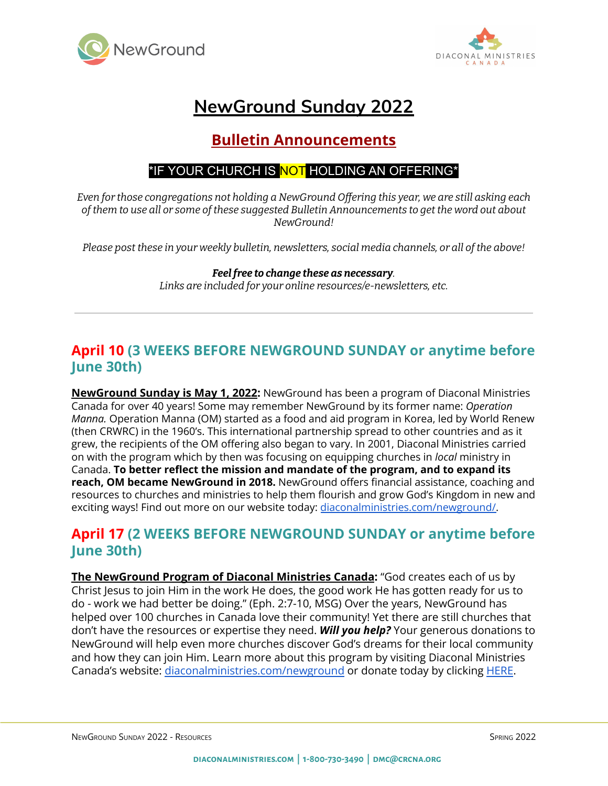



# **NewGround Sunday 2022**

## **Bulletin Announcements**

#### \*IF YOUR CHURCH IS NOT HOLDING AN OFFERING\*

*Even for those congregations not holding a NewGround Offering this year, we are still asking each of them to use all or some of these suggested Bulletin Announcements to get the word out about NewGround!*

*Please post these in your weekly bulletin, newsletters, social media channels, or all of the above!*

#### *Feelfree to change these as necessary. Links are included for your online resources/e-newsletters, etc.*

#### **April 10 (3 WEEKS BEFORE NEWGROUND SUNDAY or anytime before June 30th)**

**NewGround Sunday is May 1, 2022:** NewGround has been a program of Diaconal Ministries Canada for over 40 years! Some may remember NewGround by its former name: *Operation Manna.* Operation Manna (OM) started as a food and aid program in Korea, led by World Renew (then CRWRC) in the 1960's. This international partnership spread to other countries and as it grew, the recipients of the OM offering also began to vary. In 2001, Diaconal Ministries carried on with the program which by then was focusing on equipping churches in *local* ministry in Canada. **To better reflect the mission and mandate of the program, and to expand its reach, OM became NewGround in 2018.** NewGround offers financial assistance, coaching and resources to churches and ministries to help them flourish and grow God's Kingdom in new and exciting ways! Find out more on our website today: [diaconalministries.com/newground/.](https://diaconalministries.com/newground/)

#### **April 17 (2 WEEKS BEFORE NEWGROUND SUNDAY or anytime before June 30th)**

**The NewGround Program of Diaconal Ministries Canada:** "God creates each of us by Christ Jesus to join Him in the work He does, the good work He has gotten ready for us to do - work we had better be doing." (Eph. 2:7-10, MSG) Over the years, NewGround has helped over 100 churches in Canada love their community! Yet there are still churches that don't have the resources or expertise they need. *Will you help?* Your generous donations to NewGround will help even more churches discover God's dreams for their local community and how they can join Him. Learn more about this program by visiting Diaconal Ministries Canada's website: [diaconalministries.com/newground](https://diaconalministries.com/newground) or donate today by clicking [HERE](https://diaconalministries.com/newground-campaign/#newground-campaign-donors).

NEWGROUND SUNDAY 2022 - RESOURCES SPRING 2022